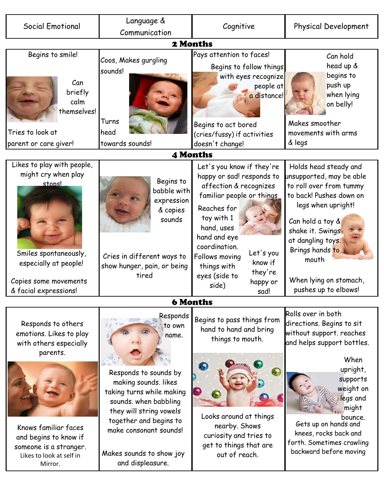| <b>Social Emotional</b>                                                                                                                                                                               | Language &<br>Communication                                                                                                                                                                                                                                       | Cognitive                                                                                                                                                                                                                                                                                                   | Physical Development                                                                                                                                                                                                                                                                           |  |  |
|-------------------------------------------------------------------------------------------------------------------------------------------------------------------------------------------------------|-------------------------------------------------------------------------------------------------------------------------------------------------------------------------------------------------------------------------------------------------------------------|-------------------------------------------------------------------------------------------------------------------------------------------------------------------------------------------------------------------------------------------------------------------------------------------------------------|------------------------------------------------------------------------------------------------------------------------------------------------------------------------------------------------------------------------------------------------------------------------------------------------|--|--|
| 2 Months                                                                                                                                                                                              |                                                                                                                                                                                                                                                                   |                                                                                                                                                                                                                                                                                                             |                                                                                                                                                                                                                                                                                                |  |  |
| Begins to smile!<br>Can<br>briefly<br>calm<br>themselves!<br>Tries to look at<br>parent or care giver!                                                                                                | Coos, Makes gurgling<br>sounds!<br>Turns<br>head<br>towards sounds!                                                                                                                                                                                               | Pays attention to faces!<br>Begins to follow things<br>with eyes recognize<br>people at<br>a distance!<br>Begins to act bored<br>(cries/fussy) if activities<br>doesn't change!                                                                                                                             | Can hold<br>head up &<br>begins to<br>push up<br>when lying<br>on belly!<br>Makes smoother<br>movements with arms<br>& legs                                                                                                                                                                    |  |  |
| <b>4 Months</b>                                                                                                                                                                                       |                                                                                                                                                                                                                                                                   |                                                                                                                                                                                                                                                                                                             |                                                                                                                                                                                                                                                                                                |  |  |
| Likes to play with people,<br>might cry when play<br>stonsl<br>Smiles spontaneously,<br>especially at people!<br>Copies some movements<br>& facial expressions!                                       | Begins to<br>babble with<br>expression<br>& copies<br>sounds<br>Cries in different ways to<br>show hunger, pain, or being<br>tired                                                                                                                                | Let's you know if they're<br>happy or sad! responds to<br>affection & recognizes<br>familiar people or things<br>Reaches for<br>toy with 1<br>hand, uses<br>hand and eye<br>coordination.<br>Let's you<br>Follows moving<br>know if<br>things with<br>they're<br>eyes (side to<br>happy or<br>side)<br>sad! | Holds head steady and<br>unsupported, may be able<br>to roll over from tummy<br>to back! Pushes down on<br>legs when upright!<br>Can hold a toy &<br>shake it. Swingst<br>at dangling toys.<br>Brings hands to<br>mouth<br>When lying on stomach,<br>pushes up to elbows!                      |  |  |
| <b>6 Months</b>                                                                                                                                                                                       |                                                                                                                                                                                                                                                                   |                                                                                                                                                                                                                                                                                                             |                                                                                                                                                                                                                                                                                                |  |  |
| Responds to others<br>emotions. Likes to play<br>with others especially<br>parents.<br>Knows familiar faces<br>and begins to know if<br>someone is a stranger.<br>Likes to look at self in<br>Mirror. | Responds<br>to own<br>name.<br>Responds to sounds by<br>making sounds. likes<br>taking turns while making<br>sounds. when babbling<br>they will string vowels<br>together and begins to<br>make consonant sounds!<br>Makes sounds to show joy<br>and displeasure. | Begins to pass things from<br>hand to hand and bring<br>things to mouth.<br>Looks around at things<br>nearby. Shows<br>curiosity and tries to<br>get to things that are<br>out of reach.                                                                                                                    | Rolls over in both<br>directions. Begins to sit<br>without support. reaches<br>and helps support bottles.<br>When<br>upright,<br>supports<br>weight on<br>legs and<br>might<br>bounce.<br>Gets up on hands and<br>knees, rocks back and<br>forth. Sometimes crawling<br>backward before moving |  |  |